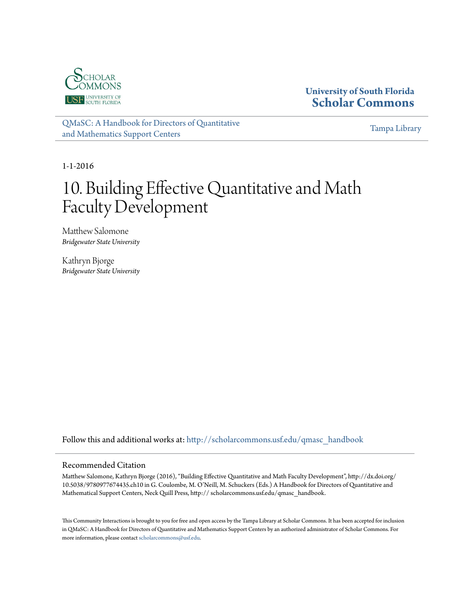

**University of South Florida [Scholar Commons](http://scholarcommons.usf.edu?utm_source=scholarcommons.usf.edu%2Fqmasc_handbook%2F10&utm_medium=PDF&utm_campaign=PDFCoverPages)**

[QMaSC: A Handbook for Directors of Quantitative](http://scholarcommons.usf.edu/qmasc_handbook?utm_source=scholarcommons.usf.edu%2Fqmasc_handbook%2F10&utm_medium=PDF&utm_campaign=PDFCoverPages) [and Mathematics Support Centers](http://scholarcommons.usf.edu/qmasc_handbook?utm_source=scholarcommons.usf.edu%2Fqmasc_handbook%2F10&utm_medium=PDF&utm_campaign=PDFCoverPages)

[Tampa Library](http://scholarcommons.usf.edu/tlib?utm_source=scholarcommons.usf.edu%2Fqmasc_handbook%2F10&utm_medium=PDF&utm_campaign=PDFCoverPages)

1-1-2016

# 10. Building Effective Quantitative and Math Faculty Development

Matthew Salomone *Bridgewater State University*

Kathryn Bjorge *Bridgewater State University*

Follow this and additional works at: [http://scholarcommons.usf.edu/qmasc\\_handbook](http://scholarcommons.usf.edu/qmasc_handbook?utm_source=scholarcommons.usf.edu%2Fqmasc_handbook%2F10&utm_medium=PDF&utm_campaign=PDFCoverPages)

#### Recommended Citation

Matthew Salomone, Kathryn Bjorge (2016), "Building Effective Quantitative and Math Faculty Development", http://dx.doi.org/ 10.5038/9780977674435.ch10 in G. Coulombe, M. O'Neill, M. Schuckers (Eds.) A Handbook for Directors of Quantitative and Mathematical Support Centers, Neck Quill Press, http:// scholarcommons.usf.edu/qmasc\_handbook.

This Community Interactions is brought to you for free and open access by the Tampa Library at Scholar Commons. It has been accepted for inclusion in QMaSC: A Handbook for Directors of Quantitative and Mathematics Support Centers by an authorized administrator of Scholar Commons. For more information, please contact [scholarcommons@usf.edu](mailto:scholarcommons@usf.edu).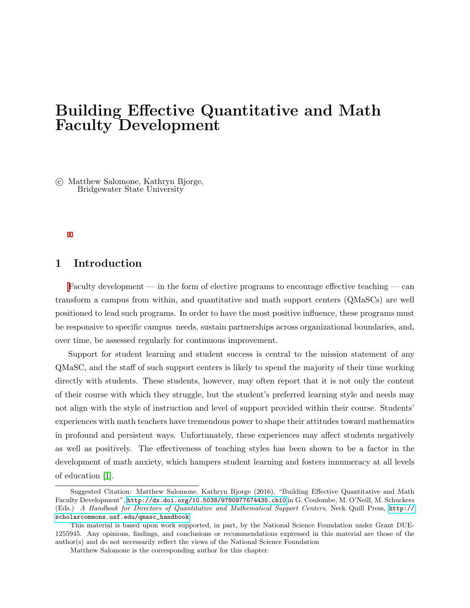# Building Effective Quantitative and Math Faculty Development

 c Matthew Salomone, Kathryn Bjorge, Bridgewater State University

# 1 Introduction

Faculty development — in the form of elective programs to encourage effective teaching — can transform a campus from within, and quantitative and math support centers (QMaSCs) are well positioned to lead such programs. In order to have the most positive influence, these programs must be responsive to specific campus needs, sustain partnerships across organizational boundaries, and, over time, be assessed regularly for continuous improvement.

Support for student learning and student success is central to the mission statement of any QMaSC, and the staff of such support centers is likely to spend the majority of their time working directly with students. These students, however, may often report that it is not only the content of their course with which they struggle, but the student's preferred learning style and needs may not align with the style of instruction and level of support provided within their course. Students' experiences with math teachers have tremendous power to shape their attitudes toward mathematics in profound and persistent ways. Unfortunately, these experiences may affect students negatively as well as positively. The effectiveness of teaching styles has been shown to be a factor in the development of math anxiety, which hampers student learning and fosters innumeracy at all levels of education [1].

Suggested Citation: Matthew Salomone, Kathryn Bjorge (2016), "Building Effective Quantitative and Math Faculty Development", <http://dx.doi.org/10.5038/9780977674435.ch10> in G. Coulombe, M. O'Neill, M. Schuckers (Eds.) A Handbook for Directors of Quantitative and Mathematical Support Centers, Neck Quill Press, [http://](http://scholarcommons.usf.edu/qmasc_handbook) [scholarcommons.usf.edu/qmasc\\_handbook](http://scholarcommons.usf.edu/qmasc_handbook).

This material is based upon work supported, in part, by the National Science Foundation under Grant DUE-1255945. Any opinions, findings, and conclusions or recommendations expressed in this material are those of the author(s) and do not necessarily reflect the views of the National Science Foundation

Matthew Salomone is the corresponding author for this chapter.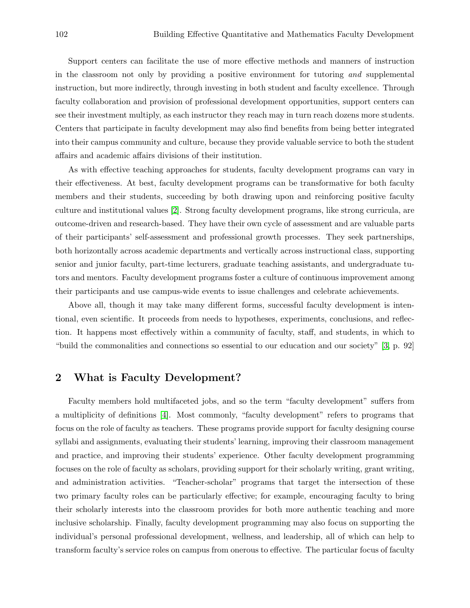Support centers can facilitate the use of more effective methods and manners of instruction in the classroom not only by providing a positive environment for tutoring and supplemental instruction, but more indirectly, through investing in both student and faculty excellence. Through faculty collaboration and provision of professional development opportunities, support centers can see their investment multiply, as each instructor they reach may in turn reach dozens more students. Centers that participate in faculty development may also find benefits from being better integrated into their campus community and culture, because they provide valuable service to both the student affairs and academic affairs divisions of their institution.

As with effective teaching approaches for students, faculty development programs can vary in their effectiveness. At best, faculty development programs can be transformative for both faculty members and their students, succeeding by both drawing upon and reinforcing positive faculty culture and institutional values [2]. Strong faculty development programs, like strong curricula, are outcome-driven and research-based. They have their own cycle of assessment and are valuable parts of their participants' self-assessment and professional growth processes. They seek partnerships, both horizontally across academic departments and vertically across instructional class, supporting senior and junior faculty, part-time lecturers, graduate teaching assistants, and undergraduate tutors and mentors. Faculty development programs foster a culture of continuous improvement among their participants and use campus-wide events to issue challenges and celebrate achievements.

Above all, though it may take many different forms, successful faculty development is intentional, even scientific. It proceeds from needs to hypotheses, experiments, conclusions, and reflection. It happens most effectively within a community of faculty, staff, and students, in which to "build the commonalities and connections so essential to our education and our society" [3, p. 92]

# 2 What is Faculty Development?

Faculty members hold multifaceted jobs, and so the term "faculty development" suffers from a multiplicity of definitions [4]. Most commonly, "faculty development" refers to programs that focus on the role of faculty as teachers. These programs provide support for faculty designing course syllabi and assignments, evaluating their students' learning, improving their classroom management and practice, and improving their students' experience. Other faculty development programming focuses on the role of faculty as scholars, providing support for their scholarly writing, grant writing, and administration activities. "Teacher-scholar" programs that target the intersection of these two primary faculty roles can be particularly effective; for example, encouraging faculty to bring their scholarly interests into the classroom provides for both more authentic teaching and more inclusive scholarship. Finally, faculty development programming may also focus on supporting the individual's personal professional development, wellness, and leadership, all of which can help to transform faculty's service roles on campus from onerous to effective. The particular focus of faculty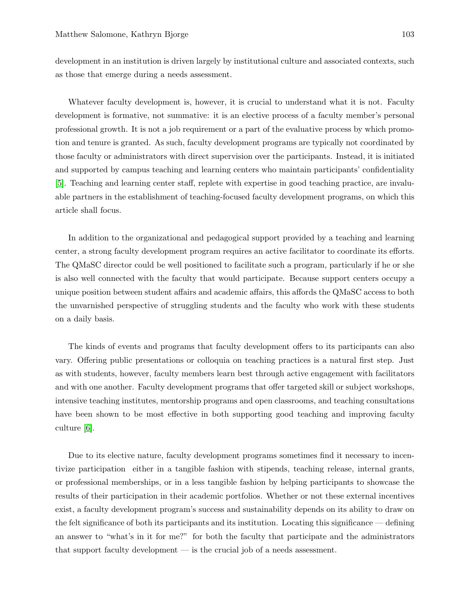development in an institution is driven largely by institutional culture and associated contexts, such as those that emerge during a needs assessment.

Whatever faculty development is, however, it is crucial to understand what it is not. Faculty development is formative, not summative: it is an elective process of a faculty member's personal professional growth. It is not a job requirement or a part of the evaluative process by which promotion and tenure is granted. As such, faculty development programs are typically not coordinated by those faculty or administrators with direct supervision over the participants. Instead, it is initiated and supported by campus teaching and learning centers who maintain participants' confidentiality [5]. Teaching and learning center staff, replete with expertise in good teaching practice, are invaluable partners in the establishment of teaching-focused faculty development programs, on which this article shall focus.

In addition to the organizational and pedagogical support provided by a teaching and learning center, a strong faculty development program requires an active facilitator to coordinate its efforts. The QMaSC director could be well positioned to facilitate such a program, particularly if he or she is also well connected with the faculty that would participate. Because support centers occupy a unique position between student affairs and academic affairs, this affords the QMaSC access to both the unvarnished perspective of struggling students and the faculty who work with these students on a daily basis.

The kinds of events and programs that faculty development offers to its participants can also vary. Offering public presentations or colloquia on teaching practices is a natural first step. Just as with students, however, faculty members learn best through active engagement with facilitators and with one another. Faculty development programs that offer targeted skill or subject workshops, intensive teaching institutes, mentorship programs and open classrooms, and teaching consultations have been shown to be most effective in both supporting good teaching and improving faculty culture [6].

Due to its elective nature, faculty development programs sometimes find it necessary to incentivize participation either in a tangible fashion with stipends, teaching release, internal grants, or professional memberships, or in a less tangible fashion by helping participants to showcase the results of their participation in their academic portfolios. Whether or not these external incentives exist, a faculty development program's success and sustainability depends on its ability to draw on the felt significance of both its participants and its institution. Locating this significance — defining an answer to "what's in it for me?" for both the faculty that participate and the administrators that support faculty development — is the crucial job of a needs assessment.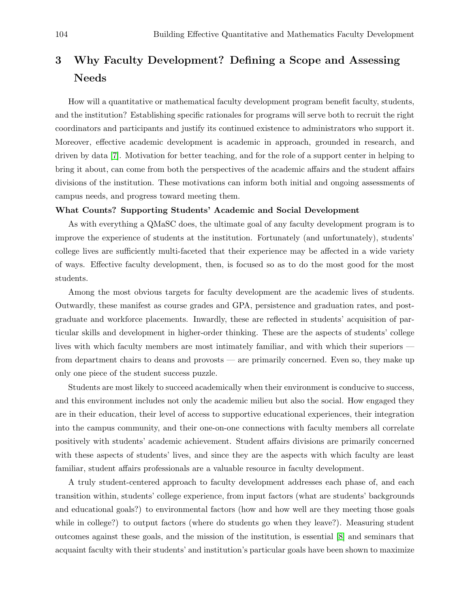# 3 Why Faculty Development? Defining a Scope and Assessing Needs

How will a quantitative or mathematical faculty development program benefit faculty, students, and the institution? Establishing specific rationales for programs will serve both to recruit the right coordinators and participants and justify its continued existence to administrators who support it. Moreover, effective academic development is academic in approach, grounded in research, and driven by data [7]. Motivation for better teaching, and for the role of a support center in helping to bring it about, can come from both the perspectives of the academic affairs and the student affairs divisions of the institution. These motivations can inform both initial and ongoing assessments of campus needs, and progress toward meeting them.

#### What Counts? Supporting Students' Academic and Social Development

As with everything a QMaSC does, the ultimate goal of any faculty development program is to improve the experience of students at the institution. Fortunately (and unfortunately), students' college lives are sufficiently multi-faceted that their experience may be affected in a wide variety of ways. Effective faculty development, then, is focused so as to do the most good for the most students.

Among the most obvious targets for faculty development are the academic lives of students. Outwardly, these manifest as course grades and GPA, persistence and graduation rates, and postgraduate and workforce placements. Inwardly, these are reflected in students' acquisition of particular skills and development in higher-order thinking. These are the aspects of students' college lives with which faculty members are most intimately familiar, and with which their superiors from department chairs to deans and provosts — are primarily concerned. Even so, they make up only one piece of the student success puzzle.

Students are most likely to succeed academically when their environment is conducive to success, and this environment includes not only the academic milieu but also the social. How engaged they are in their education, their level of access to supportive educational experiences, their integration into the campus community, and their one-on-one connections with faculty members all correlate positively with students' academic achievement. Student affairs divisions are primarily concerned with these aspects of students' lives, and since they are the aspects with which faculty are least familiar, student affairs professionals are a valuable resource in faculty development.

A truly student-centered approach to faculty development addresses each phase of, and each transition within, students' college experience, from input factors (what are students' backgrounds and educational goals?) to environmental factors (how and how well are they meeting those goals while in college?) to output factors (where do students go when they leave?). Measuring student outcomes against these goals, and the mission of the institution, is essential [8] and seminars that acquaint faculty with their students' and institution's particular goals have been shown to maximize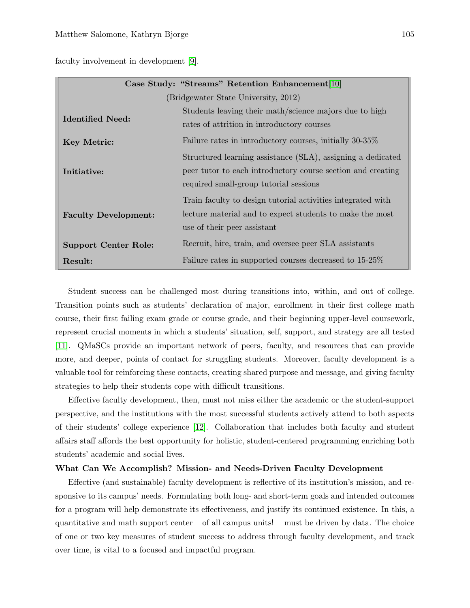faculty involvement in development [9].

| Case Study: "Streams" Retention Enhancement[10] |                                                             |
|-------------------------------------------------|-------------------------------------------------------------|
| (Bridgewater State University, 2012)            |                                                             |
| Identified Need:                                | Students leaving their math/science majors due to high      |
|                                                 | rates of attrition in introductory courses                  |
| Key Metric:                                     | Failure rates in introductory courses, initially 30-35%     |
| Initiative:                                     | Structured learning assistance (SLA), assigning a dedicated |
|                                                 | peer tutor to each introductory course section and creating |
|                                                 | required small-group tutorial sessions                      |
|                                                 | Train faculty to design tutorial activities integrated with |
| <b>Faculty Development:</b>                     | lecture material and to expect students to make the most    |
|                                                 | use of their peer assistant                                 |
| <b>Support Center Role:</b>                     | Recruit, hire, train, and oversee peer SLA assistants       |
| Result:                                         | Failure rates in supported courses decreased to 15-25\%     |

Student success can be challenged most during transitions into, within, and out of college. Transition points such as students' declaration of major, enrollment in their first college math course, their first failing exam grade or course grade, and their beginning upper-level coursework, represent crucial moments in which a students' situation, self, support, and strategy are all tested [11]. QMaSCs provide an important network of peers, faculty, and resources that can provide more, and deeper, points of contact for struggling students. Moreover, faculty development is a valuable tool for reinforcing these contacts, creating shared purpose and message, and giving faculty strategies to help their students cope with difficult transitions.

Effective faculty development, then, must not miss either the academic or the student-support perspective, and the institutions with the most successful students actively attend to both aspects of their students' college experience [12]. Collaboration that includes both faculty and student affairs staff affords the best opportunity for holistic, student-centered programming enriching both students' academic and social lives.

#### What Can We Accomplish? Mission- and Needs-Driven Faculty Development

Effective (and sustainable) faculty development is reflective of its institution's mission, and responsive to its campus' needs. Formulating both long- and short-term goals and intended outcomes for a program will help demonstrate its effectiveness, and justify its continued existence. In this, a quantitative and math support center  $-$  of all campus units!  $-$  must be driven by data. The choice of one or two key measures of student success to address through faculty development, and track over time, is vital to a focused and impactful program.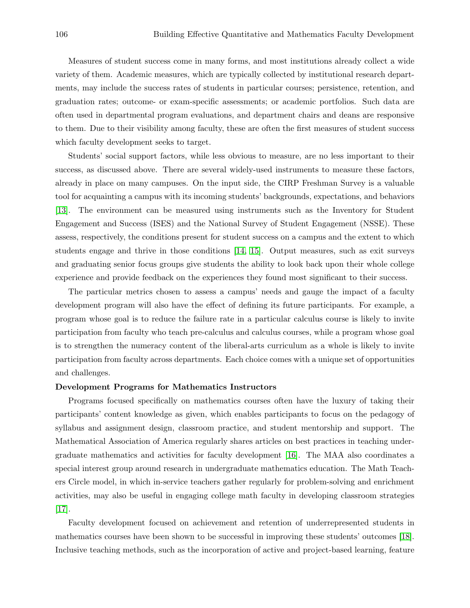Measures of student success come in many forms, and most institutions already collect a wide variety of them. Academic measures, which are typically collected by institutional research departments, may include the success rates of students in particular courses; persistence, retention, and graduation rates; outcome- or exam-specific assessments; or academic portfolios. Such data are often used in departmental program evaluations, and department chairs and deans are responsive to them. Due to their visibility among faculty, these are often the first measures of student success which faculty development seeks to target.

Students' social support factors, while less obvious to measure, are no less important to their success, as discussed above. There are several widely-used instruments to measure these factors, already in place on many campuses. On the input side, the CIRP Freshman Survey is a valuable tool for acquainting a campus with its incoming students' backgrounds, expectations, and behaviors [13]. The environment can be measured using instruments such as the Inventory for Student Engagement and Success (ISES) and the National Survey of Student Engagement (NSSE). These assess, respectively, the conditions present for student success on a campus and the extent to which students engage and thrive in those conditions [14, 15]. Output measures, such as exit surveys and graduating senior focus groups give students the ability to look back upon their whole college experience and provide feedback on the experiences they found most significant to their success.

The particular metrics chosen to assess a campus' needs and gauge the impact of a faculty development program will also have the effect of defining its future participants. For example, a program whose goal is to reduce the failure rate in a particular calculus course is likely to invite participation from faculty who teach pre-calculus and calculus courses, while a program whose goal is to strengthen the numeracy content of the liberal-arts curriculum as a whole is likely to invite participation from faculty across departments. Each choice comes with a unique set of opportunities and challenges.

#### Development Programs for Mathematics Instructors

Programs focused specifically on mathematics courses often have the luxury of taking their participants' content knowledge as given, which enables participants to focus on the pedagogy of syllabus and assignment design, classroom practice, and student mentorship and support. The Mathematical Association of America regularly shares articles on best practices in teaching undergraduate mathematics and activities for faculty development [16]. The MAA also coordinates a special interest group around research in undergraduate mathematics education. The Math Teachers Circle model, in which in-service teachers gather regularly for problem-solving and enrichment activities, may also be useful in engaging college math faculty in developing classroom strategies [17].

Faculty development focused on achievement and retention of underrepresented students in mathematics courses have been shown to be successful in improving these students' outcomes [18]. Inclusive teaching methods, such as the incorporation of active and project-based learning, feature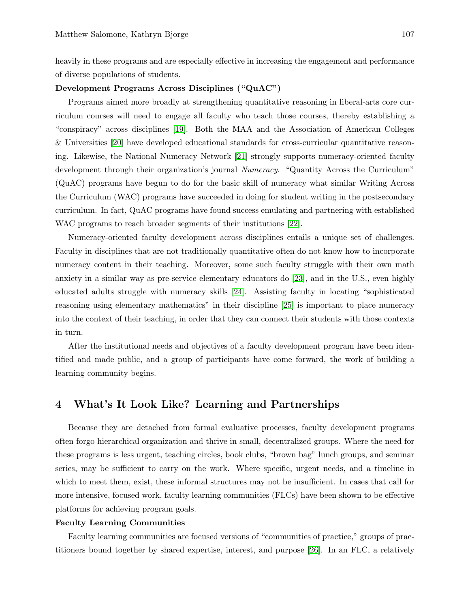heavily in these programs and are especially effective in increasing the engagement and performance of diverse populations of students.

#### Development Programs Across Disciplines ("QuAC")

Programs aimed more broadly at strengthening quantitative reasoning in liberal-arts core curriculum courses will need to engage all faculty who teach those courses, thereby establishing a "conspiracy" across disciplines [19]. Both the MAA and the Association of American Colleges & Universities [20] have developed educational standards for cross-curricular quantitative reasoning. Likewise, the National Numeracy Network [21] strongly supports numeracy-oriented faculty development through their organization's journal Numeracy. "Quantity Across the Curriculum" (QuAC) programs have begun to do for the basic skill of numeracy what similar Writing Across the Curriculum (WAC) programs have succeeded in doing for student writing in the postsecondary curriculum. In fact, QuAC programs have found success emulating and partnering with established WAC programs to reach broader segments of their institutions [22].

Numeracy-oriented faculty development across disciplines entails a unique set of challenges. Faculty in disciplines that are not traditionally quantitative often do not know how to incorporate numeracy content in their teaching. Moreover, some such faculty struggle with their own math anxiety in a similar way as pre-service elementary educators do [23], and in the U.S., even highly educated adults struggle with numeracy skills [24]. Assisting faculty in locating "sophisticated reasoning using elementary mathematics" in their discipline [25] is important to place numeracy into the context of their teaching, in order that they can connect their students with those contexts in turn.

After the institutional needs and objectives of a faculty development program have been identified and made public, and a group of participants have come forward, the work of building a learning community begins.

## 4 What's It Look Like? Learning and Partnerships

Because they are detached from formal evaluative processes, faculty development programs often forgo hierarchical organization and thrive in small, decentralized groups. Where the need for these programs is less urgent, teaching circles, book clubs, "brown bag" lunch groups, and seminar series, may be sufficient to carry on the work. Where specific, urgent needs, and a timeline in which to meet them, exist, these informal structures may not be insufficient. In cases that call for more intensive, focused work, faculty learning communities (FLCs) have been shown to be effective platforms for achieving program goals.

#### Faculty Learning Communities

Faculty learning communities are focused versions of "communities of practice," groups of practitioners bound together by shared expertise, interest, and purpose [26]. In an FLC, a relatively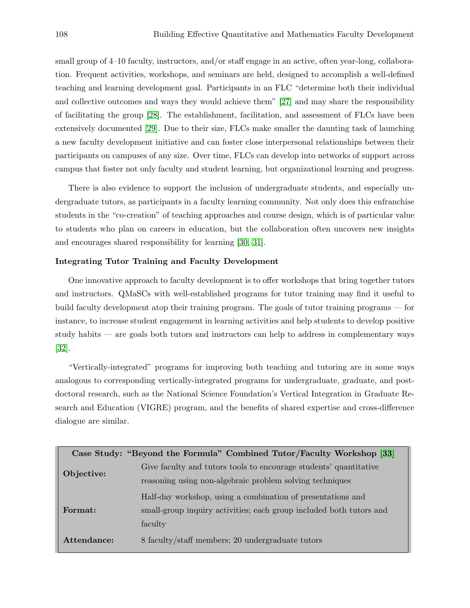small group of 4–10 faculty, instructors, and/or staff engage in an active, often year-long, collaboration. Frequent activities, workshops, and seminars are held, designed to accomplish a well-defined teaching and learning development goal. Participants in an FLC "determine both their individual and collective outcomes and ways they would achieve them" [27] and may share the responsibility of facilitating the group [28]. The establishment, facilitation, and assessment of FLCs have been extensively documented [29]. Due to their size, FLCs make smaller the daunting task of launching a new faculty development initiative and can foster close interpersonal relationships between their participants on campuses of any size. Over time, FLCs can develop into networks of support across campus that foster not only faculty and student learning, but organizational learning and progress.

There is also evidence to support the inclusion of undergraduate students, and especially undergraduate tutors, as participants in a faculty learning community. Not only does this enfranchise students in the "co-creation" of teaching approaches and course design, which is of particular value to students who plan on careers in education, but the collaboration often uncovers new insights and encourages shared responsibility for learning [30, 31].

#### Integrating Tutor Training and Faculty Development

One innovative approach to faculty development is to offer workshops that bring together tutors and instructors. QMaSCs with well-established programs for tutor training may find it useful to build faculty development atop their training program. The goals of tutor training programs — for instance, to increase student engagement in learning activities and help students to develop positive study habits — are goals both tutors and instructors can help to address in complementary ways [32].

"Vertically-integrated" programs for improving both teaching and tutoring are in some ways analogous to corresponding vertically-integrated programs for undergraduate, graduate, and postdoctoral research, such as the National Science Foundation's Vertical Integration in Graduate Research and Education (VIGRE) program, and the benefits of shared expertise and cross-difference dialogue are similar.

|             | Case Study: "Beyond the Formula" Combined Tutor/Faculty Workshop [33] |
|-------------|-----------------------------------------------------------------------|
| Objective:  | Give faculty and tutors tools to encourage students' quantitative     |
|             | reasoning using non-algebraic problem solving techniques              |
| Format:     | Half-day workshop, using a combination of presentations and           |
|             | small-group inquiry activities; each group included both tutors and   |
|             | faculty                                                               |
| Attendance: | 8 faculty/staff members; 20 undergraduate tutors                      |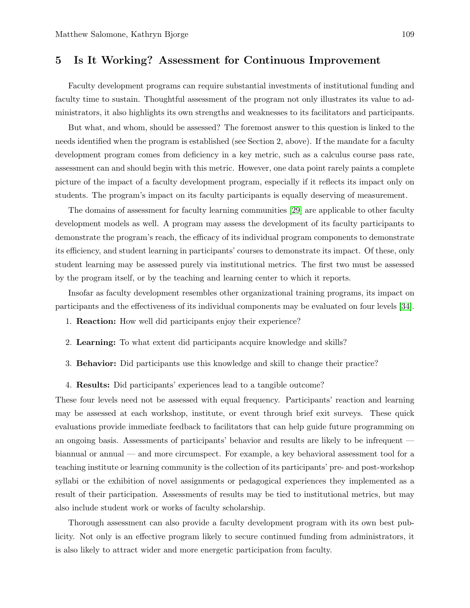# 5 Is It Working? Assessment for Continuous Improvement

Faculty development programs can require substantial investments of institutional funding and faculty time to sustain. Thoughtful assessment of the program not only illustrates its value to administrators, it also highlights its own strengths and weaknesses to its facilitators and participants.

But what, and whom, should be assessed? The foremost answer to this question is linked to the needs identified when the program is established (see Section 2, above). If the mandate for a faculty development program comes from deficiency in a key metric, such as a calculus course pass rate, assessment can and should begin with this metric. However, one data point rarely paints a complete picture of the impact of a faculty development program, especially if it reflects its impact only on students. The program's impact on its faculty participants is equally deserving of measurement.

The domains of assessment for faculty learning communities [29] are applicable to other faculty development models as well. A program may assess the development of its faculty participants to demonstrate the program's reach, the efficacy of its individual program components to demonstrate its efficiency, and student learning in participants' courses to demonstrate its impact. Of these, only student learning may be assessed purely via institutional metrics. The first two must be assessed by the program itself, or by the teaching and learning center to which it reports.

Insofar as faculty development resembles other organizational training programs, its impact on participants and the effectiveness of its individual components may be evaluated on four levels [34].

- 1. Reaction: How well did participants enjoy their experience?
- 2. Learning: To what extent did participants acquire knowledge and skills?
- 3. Behavior: Did participants use this knowledge and skill to change their practice?
- 4. Results: Did participants' experiences lead to a tangible outcome?

These four levels need not be assessed with equal frequency. Participants' reaction and learning may be assessed at each workshop, institute, or event through brief exit surveys. These quick evaluations provide immediate feedback to facilitators that can help guide future programming on an ongoing basis. Assessments of participants' behavior and results are likely to be infrequent biannual or annual — and more circumspect. For example, a key behavioral assessment tool for a teaching institute or learning community is the collection of its participants' pre- and post-workshop syllabi or the exhibition of novel assignments or pedagogical experiences they implemented as a result of their participation. Assessments of results may be tied to institutional metrics, but may also include student work or works of faculty scholarship.

Thorough assessment can also provide a faculty development program with its own best publicity. Not only is an effective program likely to secure continued funding from administrators, it is also likely to attract wider and more energetic participation from faculty.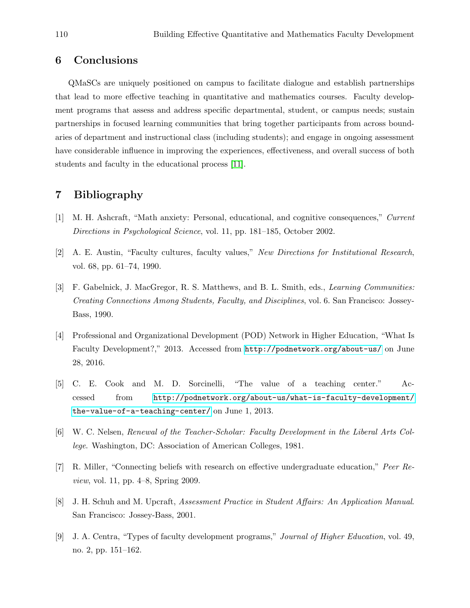# 6 Conclusions

QMaSCs are uniquely positioned on campus to facilitate dialogue and establish partnerships that lead to more effective teaching in quantitative and mathematics courses. Faculty development programs that assess and address specific departmental, student, or campus needs; sustain partnerships in focused learning communities that bring together participants from across boundaries of department and instructional class (including students); and engage in ongoing assessment have considerable influence in improving the experiences, effectiveness, and overall success of both students and faculty in the educational process [11].

## 7 Bibliography

- [1] M. H. Ashcraft, "Math anxiety: Personal, educational, and cognitive consequences," Current Directions in Psychological Science, vol. 11, pp. 181–185, October 2002.
- [2] A. E. Austin, "Faculty cultures, faculty values," New Directions for Institutional Research, vol. 68, pp. 61–74, 1990.
- [3] F. Gabelnick, J. MacGregor, R. S. Matthews, and B. L. Smith, eds., Learning Communities: Creating Connections Among Students, Faculty, and Disciplines, vol. 6. San Francisco: Jossey-Bass, 1990.
- [4] Professional and Organizational Development (POD) Network in Higher Education, "What Is Faculty Development?," 2013. Accessed from <http://podnetwork.org/about-us/> on June 28, 2016.
- [5] C. E. Cook and M. D. Sorcinelli, "The value of a teaching center." Accessed from [http://podnetwork.org/about-us/what-is-faculty-development/](http://podnetwork.org/about-us/what-is-faculty-development/the-value-of-a-teaching-center/ ) [the-value-of-a-teaching-center/](http://podnetwork.org/about-us/what-is-faculty-development/the-value-of-a-teaching-center/ ) on June 1, 2013.
- [6] W. C. Nelsen, Renewal of the Teacher-Scholar: Faculty Development in the Liberal Arts College. Washington, DC: Association of American Colleges, 1981.
- [7] R. Miller, "Connecting beliefs with research on effective undergraduate education," Peer Review, vol. 11, pp. 4–8, Spring 2009.
- [8] J. H. Schuh and M. Upcraft, Assessment Practice in Student Affairs: An Application Manual. San Francisco: Jossey-Bass, 2001.
- [9] J. A. Centra, "Types of faculty development programs," Journal of Higher Education, vol. 49, no. 2, pp. 151–162.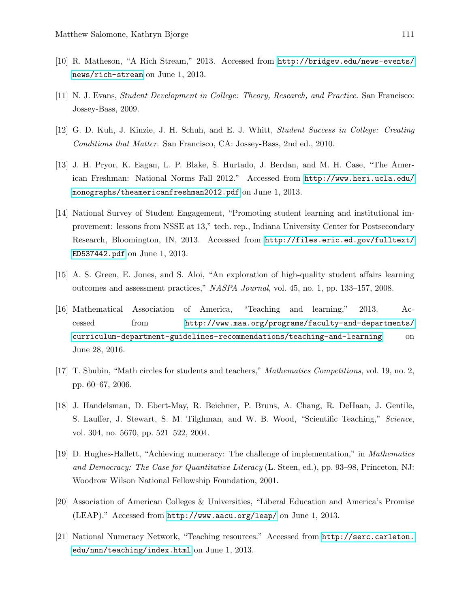- [10] R. Matheson, "A Rich Stream," 2013. Accessed from [http://bridgew.edu/news-events/](http://bridgew.edu/news-events/news/rich-stream) [news/rich-stream](http://bridgew.edu/news-events/news/rich-stream) on June 1, 2013.
- [11] N. J. Evans, Student Development in College: Theory, Research, and Practice. San Francisco: Jossey-Bass, 2009.
- [12] G. D. Kuh, J. Kinzie, J. H. Schuh, and E. J. Whitt, Student Success in College: Creating Conditions that Matter. San Francisco, CA: Jossey-Bass, 2nd ed., 2010.
- [13] J. H. Pryor, K. Eagan, L. P. Blake, S. Hurtado, J. Berdan, and M. H. Case, "The American Freshman: National Norms Fall 2012." Accessed from [http://www.heri.ucla.edu/](http://www.heri.ucla.edu/monographs/theamericanfreshman2012.pdf) [monographs/theamericanfreshman2012.pdf](http://www.heri.ucla.edu/monographs/theamericanfreshman2012.pdf) on June 1, 2013.
- [14] National Survey of Student Engagement, "Promoting student learning and institutional improvement: lessons from NSSE at 13," tech. rep., Indiana University Center for Postsecondary Research, Bloomington, IN, 2013. Accessed from [http://files.eric.ed.gov/fulltext/](http://files.eric.ed.gov/fulltext/ED537442.pdf) [ED537442.pdf](http://files.eric.ed.gov/fulltext/ED537442.pdf) on June 1, 2013.
- [15] A. S. Green, E. Jones, and S. Aloi, "An exploration of high-quality student affairs learning outcomes and assessment practices," NASPA Journal, vol. 45, no. 1, pp. 133–157, 2008.
- [16] Mathematical Association of America, "Teaching and learning," 2013. Accessed from [http://www.maa.org/programs/faculty-and-departments/](http://www.maa.org/programs/faculty-and-departments/curriculum-department-guidelines-recommendations/teaching-and-learning) [curriculum-department-guidelines-recommendations/teaching-and-learning](http://www.maa.org/programs/faculty-and-departments/curriculum-department-guidelines-recommendations/teaching-and-learning) on June 28, 2016.
- [17] T. Shubin, "Math circles for students and teachers," Mathematics Competitions, vol. 19, no. 2, pp. 60–67, 2006.
- [18] J. Handelsman, D. Ebert-May, R. Beichner, P. Bruns, A. Chang, R. DeHaan, J. Gentile, S. Lauffer, J. Stewart, S. M. Tilghman, and W. B. Wood, "Scientific Teaching," Science, vol. 304, no. 5670, pp. 521–522, 2004.
- [19] D. Hughes-Hallett, "Achieving numeracy: The challenge of implementation," in Mathematics and Democracy: The Case for Quantitative Literacy (L. Steen, ed.), pp. 93–98, Princeton, NJ: Woodrow Wilson National Fellowship Foundation, 2001.
- [20] Association of American Colleges & Universities, "Liberal Education and America's Promise (LEAP)." Accessed from <http://www.aacu.org/leap/> on June 1, 2013.
- [21] National Numeracy Network, "Teaching resources." Accessed from [http://serc.carleton.](http://serc.carleton.edu/nnn/teaching/index.html) [edu/nnn/teaching/index.html](http://serc.carleton.edu/nnn/teaching/index.html) on June 1, 2013.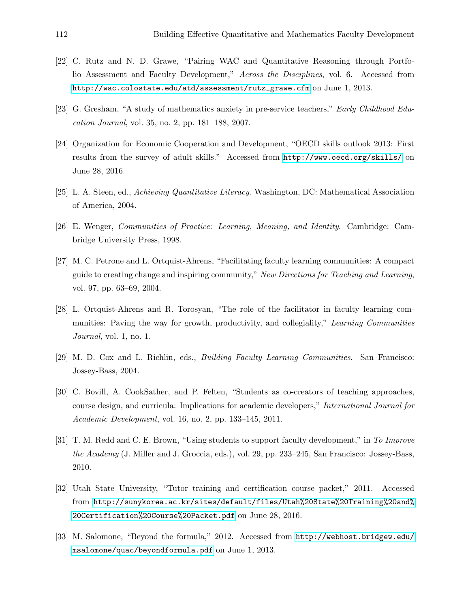- [22] C. Rutz and N. D. Grawe, "Pairing WAC and Quantitative Reasoning through Portfolio Assessment and Faculty Development," Across the Disciplines, vol. 6. Accessed from [http://wac.colostate.edu/atd/assessment/rutz\\_grawe.cfm](http://wac.colostate.edu/atd/assessment/rutz_grawe.cfm) on June 1, 2013.
- [23] G. Gresham, "A study of mathematics anxiety in pre-service teachers," Early Childhood Education Journal, vol. 35, no. 2, pp. 181–188, 2007.
- [24] Organization for Economic Cooperation and Development, "OECD skills outlook 2013: First results from the survey of adult skills." Accessed from <http://www.oecd.org/skills/> on June 28, 2016.
- [25] L. A. Steen, ed., Achieving Quantitative Literacy. Washington, DC: Mathematical Association of America, 2004.
- [26] E. Wenger, Communities of Practice: Learning, Meaning, and Identity. Cambridge: Cambridge University Press, 1998.
- [27] M. C. Petrone and L. Ortquist-Ahrens, "Facilitating faculty learning communities: A compact guide to creating change and inspiring community," New Directions for Teaching and Learning, vol. 97, pp. 63–69, 2004.
- [28] L. Ortquist-Ahrens and R. Torosyan, "The role of the facilitator in faculty learning communities: Paving the way for growth, productivity, and collegiality," Learning Communities Journal, vol. 1, no. 1.
- [29] M. D. Cox and L. Richlin, eds., Building Faculty Learning Communities. San Francisco: Jossey-Bass, 2004.
- [30] C. Bovill, A. CookSather, and P. Felten, "Students as co-creators of teaching approaches, course design, and curricula: Implications for academic developers," International Journal for Academic Development, vol. 16, no. 2, pp. 133–145, 2011.
- [31] T. M. Redd and C. E. Brown, "Using students to support faculty development," in To Improve the Academy (J. Miller and J. Groccia, eds.), vol. 29, pp. 233–245, San Francisco: Jossey-Bass, 2010.
- [32] Utah State University, "Tutor training and certification course packet," 2011. Accessed from [http://sunykorea.ac.kr/sites/default/files/Utah%20State%20Training%20and%](http://sunykorea.ac.kr/sites/default/files/Utah%20State%20Training%20and%20Certification%20Course%20Packet.pdf) [20Certification%20Course%20Packet.pdf](http://sunykorea.ac.kr/sites/default/files/Utah%20State%20Training%20and%20Certification%20Course%20Packet.pdf) on June 28, 2016.
- [33] M. Salomone, "Beyond the formula," 2012. Accessed from [http://webhost.bridgew.edu/](http://webhost.bridgew.edu/msalomone/quac/beyondformula.pdf) [msalomone/quac/beyondformula.pdf](http://webhost.bridgew.edu/msalomone/quac/beyondformula.pdf) on June 1, 2013.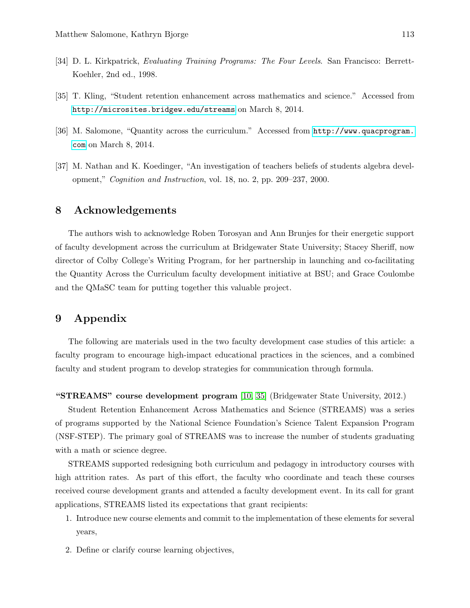- [34] D. L. Kirkpatrick, Evaluating Training Programs: The Four Levels. San Francisco: Berrett-Koehler, 2nd ed., 1998.
- [35] T. Kling, "Student retention enhancement across mathematics and science." Accessed from <http://microsites.bridgew.edu/streams> on March 8, 2014.
- [36] M. Salomone, "Quantity across the curriculum." Accessed from [http://www.quacprogram.](http://www.quacprogram.com) [com](http://www.quacprogram.com) on March 8, 2014.
- [37] M. Nathan and K. Koedinger, "An investigation of teachers beliefs of students algebra development," Cognition and Instruction, vol. 18, no. 2, pp. 209–237, 2000.

## 8 Acknowledgements

The authors wish to acknowledge Roben Torosyan and Ann Brunjes for their energetic support of faculty development across the curriculum at Bridgewater State University; Stacey Sheriff, now director of Colby College's Writing Program, for her partnership in launching and co-facilitating the Quantity Across the Curriculum faculty development initiative at BSU; and Grace Coulombe and the QMaSC team for putting together this valuable project.

# 9 Appendix

The following are materials used in the two faculty development case studies of this article: a faculty program to encourage high-impact educational practices in the sciences, and a combined faculty and student program to develop strategies for communication through formula.

"STREAMS" course development program [10, 35] (Bridgewater State University, 2012.)

Student Retention Enhancement Across Mathematics and Science (STREAMS) was a series of programs supported by the National Science Foundation's Science Talent Expansion Program (NSF-STEP). The primary goal of STREAMS was to increase the number of students graduating with a math or science degree.

STREAMS supported redesigning both curriculum and pedagogy in introductory courses with high attrition rates. As part of this effort, the faculty who coordinate and teach these courses received course development grants and attended a faculty development event. In its call for grant applications, STREAMS listed its expectations that grant recipients:

- 1. Introduce new course elements and commit to the implementation of these elements for several years,
- 2. Define or clarify course learning objectives,